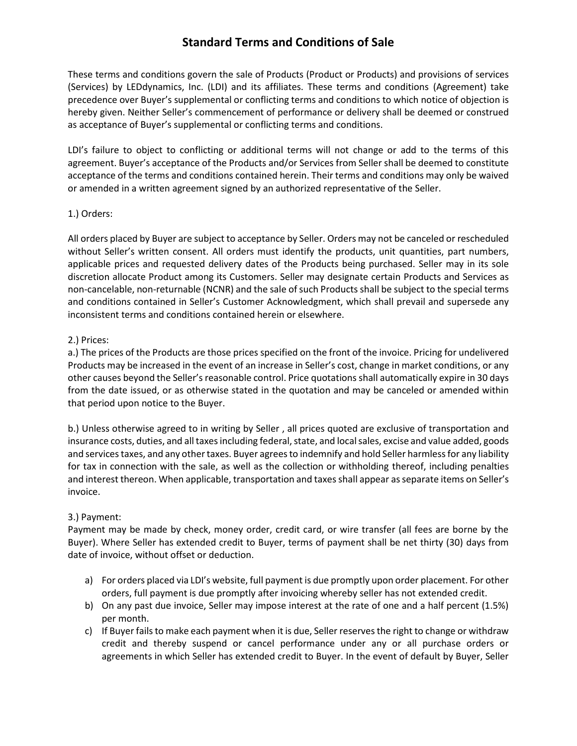These terms and conditions govern the sale of Products (Product or Products) and provisions of services (Services) by LEDdynamics, Inc. (LDI) and its affiliates. These terms and conditions (Agreement) take precedence over Buyer's supplemental or conflicting terms and conditions to which notice of objection is hereby given. Neither Seller's commencement of performance or delivery shall be deemed or construed as acceptance of Buyer's supplemental or conflicting terms and conditions.

LDI's failure to object to conflicting or additional terms will not change or add to the terms of this agreement. Buyer's acceptance of the Products and/or Services from Seller shall be deemed to constitute acceptance of the terms and conditions contained herein. Their terms and conditions may only be waived or amended in a written agreement signed by an authorized representative of the Seller.

## 1.) Orders:

All orders placed by Buyer are subject to acceptance by Seller. Orders may not be canceled or rescheduled without Seller's written consent. All orders must identify the products, unit quantities, part numbers, applicable prices and requested delivery dates of the Products being purchased. Seller may in its sole discretion allocate Product among its Customers. Seller may designate certain Products and Services as non-cancelable, non-returnable (NCNR) and the sale of such Products shall be subject to the special terms and conditions contained in Seller's Customer Acknowledgment, which shall prevail and supersede any inconsistent terms and conditions contained herein or elsewhere.

#### 2.) Prices:

a.) The prices of the Products are those prices specified on the front of the invoice. Pricing for undelivered Products may be increased in the event of an increase in Seller's cost, change in market conditions, or any other causes beyond the Seller's reasonable control. Price quotations shall automatically expire in 30 days from the date issued, or as otherwise stated in the quotation and may be canceled or amended within that period upon notice to the Buyer.

b.) Unless otherwise agreed to in writing by Seller , all prices quoted are exclusive of transportation and insurance costs, duties, and all taxes including federal, state, and local sales, excise and value added, goods and services taxes, and any other taxes. Buyer agrees to indemnify and hold Seller harmless for any liability for tax in connection with the sale, as well as the collection or withholding thereof, including penalties and interest thereon. When applicable, transportation and taxes shall appear as separate items on Seller's invoice.

## 3.) Payment:

Payment may be made by check, money order, credit card, or wire transfer (all fees are borne by the Buyer). Where Seller has extended credit to Buyer, terms of payment shall be net thirty (30) days from date of invoice, without offset or deduction.

- a) For orders placed via LDI's website, full payment is due promptly upon order placement. For other orders, full payment is due promptly after invoicing whereby seller has not extended credit.
- b) On any past due invoice, Seller may impose interest at the rate of one and a half percent (1.5%) per month.
- c) If Buyer fails to make each payment when it is due, Seller reserves the right to change or withdraw credit and thereby suspend or cancel performance under any or all purchase orders or agreements in which Seller has extended credit to Buyer. In the event of default by Buyer, Seller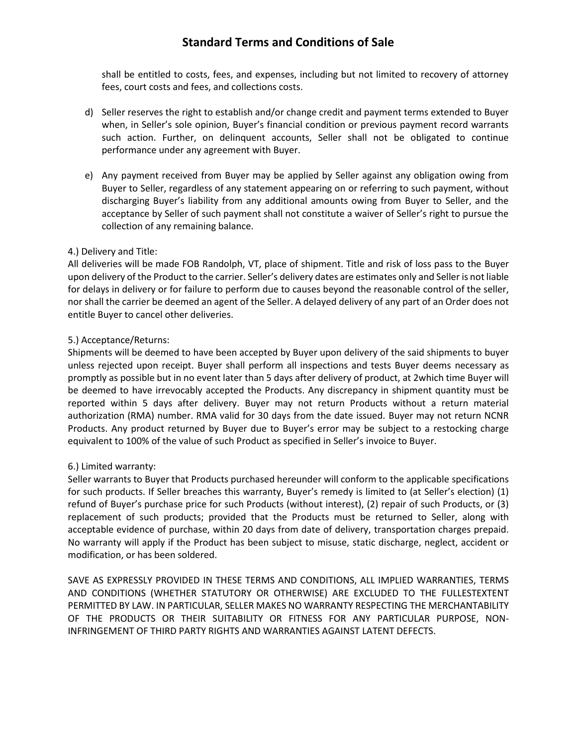shall be entitled to costs, fees, and expenses, including but not limited to recovery of attorney fees, court costs and fees, and collections costs.

- d) Seller reserves the right to establish and/or change credit and payment terms extended to Buyer when, in Seller's sole opinion, Buyer's financial condition or previous payment record warrants such action. Further, on delinquent accounts, Seller shall not be obligated to continue performance under any agreement with Buyer.
- e) Any payment received from Buyer may be applied by Seller against any obligation owing from Buyer to Seller, regardless of any statement appearing on or referring to such payment, without discharging Buyer's liability from any additional amounts owing from Buyer to Seller, and the acceptance by Seller of such payment shall not constitute a waiver of Seller's right to pursue the collection of any remaining balance.

## 4.) Delivery and Title:

All deliveries will be made FOB Randolph, VT, place of shipment. Title and risk of loss pass to the Buyer upon delivery of the Product to the carrier. Seller's delivery dates are estimates only and Seller is not liable for delays in delivery or for failure to perform due to causes beyond the reasonable control of the seller, nor shall the carrier be deemed an agent of the Seller. A delayed delivery of any part of an Order does not entitle Buyer to cancel other deliveries.

## 5.) Acceptance/Returns:

Shipments will be deemed to have been accepted by Buyer upon delivery of the said shipments to buyer unless rejected upon receipt. Buyer shall perform all inspections and tests Buyer deems necessary as promptly as possible but in no event later than 5 days after delivery of product, at 2which time Buyer will be deemed to have irrevocably accepted the Products. Any discrepancy in shipment quantity must be reported within 5 days after delivery. Buyer may not return Products without a return material authorization (RMA) number. RMA valid for 30 days from the date issued. Buyer may not return NCNR Products. Any product returned by Buyer due to Buyer's error may be subject to a restocking charge equivalent to 100% of the value of such Product as specified in Seller's invoice to Buyer.

#### 6.) Limited warranty:

Seller warrants to Buyer that Products purchased hereunder will conform to the applicable specifications for such products. If Seller breaches this warranty, Buyer's remedy is limited to (at Seller's election) (1) refund of Buyer's purchase price for such Products (without interest), (2) repair of such Products, or (3) replacement of such products; provided that the Products must be returned to Seller, along with acceptable evidence of purchase, within 20 days from date of delivery, transportation charges prepaid. No warranty will apply if the Product has been subject to misuse, static discharge, neglect, accident or modification, or has been soldered.

SAVE AS EXPRESSLY PROVIDED IN THESE TERMS AND CONDITIONS, ALL IMPLIED WARRANTIES, TERMS AND CONDITIONS (WHETHER STATUTORY OR OTHERWISE) ARE EXCLUDED TO THE FULLESTEXTENT PERMITTED BY LAW. IN PARTICULAR, SELLER MAKES NO WARRANTY RESPECTING THE MERCHANTABILITY OF THE PRODUCTS OR THEIR SUITABILITY OR FITNESS FOR ANY PARTICULAR PURPOSE, NON-INFRINGEMENT OF THIRD PARTY RIGHTS AND WARRANTIES AGAINST LATENT DEFECTS.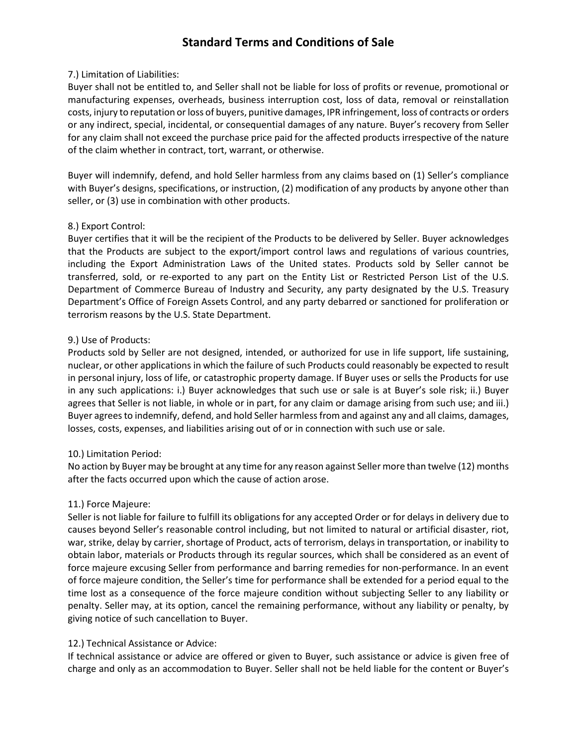#### 7.) Limitation of Liabilities:

Buyer shall not be entitled to, and Seller shall not be liable for loss of profits or revenue, promotional or manufacturing expenses, overheads, business interruption cost, loss of data, removal or reinstallation costs, injury to reputation or loss of buyers, punitive damages, IPR infringement, loss of contracts or orders or any indirect, special, incidental, or consequential damages of any nature. Buyer's recovery from Seller for any claim shall not exceed the purchase price paid for the affected products irrespective of the nature of the claim whether in contract, tort, warrant, or otherwise.

Buyer will indemnify, defend, and hold Seller harmless from any claims based on (1) Seller's compliance with Buyer's designs, specifications, or instruction, (2) modification of any products by anyone other than seller, or (3) use in combination with other products.

## 8.) Export Control:

Buyer certifies that it will be the recipient of the Products to be delivered by Seller. Buyer acknowledges that the Products are subject to the export/import control laws and regulations of various countries, including the Export Administration Laws of the United states. Products sold by Seller cannot be transferred, sold, or re-exported to any part on the Entity List or Restricted Person List of the U.S. Department of Commerce Bureau of Industry and Security, any party designated by the U.S. Treasury Department's Office of Foreign Assets Control, and any party debarred or sanctioned for proliferation or terrorism reasons by the U.S. State Department.

## 9.) Use of Products:

Products sold by Seller are not designed, intended, or authorized for use in life support, life sustaining, nuclear, or other applications in which the failure of such Products could reasonably be expected to result in personal injury, loss of life, or catastrophic property damage. If Buyer uses or sells the Products for use in any such applications: i.) Buyer acknowledges that such use or sale is at Buyer's sole risk; ii.) Buyer agrees that Seller is not liable, in whole or in part, for any claim or damage arising from such use; and iii.) Buyer agrees to indemnify, defend, and hold Seller harmlessfrom and against any and all claims, damages, losses, costs, expenses, and liabilities arising out of or in connection with such use or sale.

## 10.) Limitation Period:

No action by Buyer may be brought at any time for any reason against Seller more than twelve (12) months after the facts occurred upon which the cause of action arose.

## 11.) Force Majeure:

Seller is not liable for failure to fulfill its obligations for any accepted Order or for delays in delivery due to causes beyond Seller's reasonable control including, but not limited to natural or artificial disaster, riot, war, strike, delay by carrier, shortage of Product, acts of terrorism, delays in transportation, or inability to obtain labor, materials or Products through its regular sources, which shall be considered as an event of force majeure excusing Seller from performance and barring remedies for non-performance. In an event of force majeure condition, the Seller's time for performance shall be extended for a period equal to the time lost as a consequence of the force majeure condition without subjecting Seller to any liability or penalty. Seller may, at its option, cancel the remaining performance, without any liability or penalty, by giving notice of such cancellation to Buyer.

#### 12.) Technical Assistance or Advice:

If technical assistance or advice are offered or given to Buyer, such assistance or advice is given free of charge and only as an accommodation to Buyer. Seller shall not be held liable for the content or Buyer's